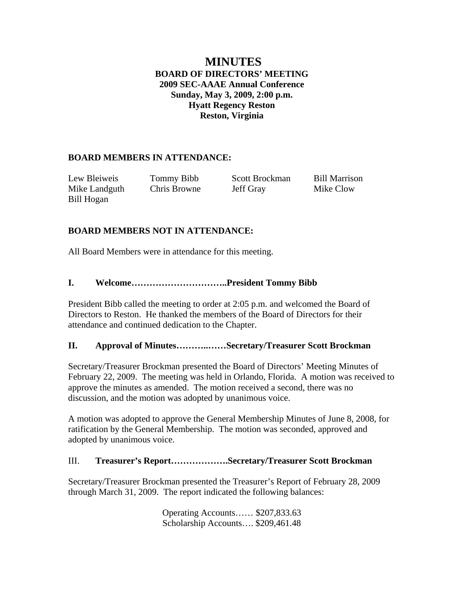# **MINUTES BOARD OF DIRECTORS' MEETING 2009 SEC-AAAE Annual Conference Sunday, May 3, 2009, 2:00 p.m. Hyatt Regency Reston Reston, Virginia**

# **BOARD MEMBERS IN ATTENDANCE:**

| Lew Bleiweis  | Tommy Bibb   | Scott Brockman | <b>Bill Marrison</b> |
|---------------|--------------|----------------|----------------------|
| Mike Landguth | Chris Browne | Jeff Gray      | Mike Clow            |
| Bill Hogan    |              |                |                      |

## **BOARD MEMBERS NOT IN ATTENDANCE:**

All Board Members were in attendance for this meeting.

## **I. Welcome…………………………..President Tommy Bibb**

President Bibb called the meeting to order at 2:05 p.m. and welcomed the Board of Directors to Reston. He thanked the members of the Board of Directors for their attendance and continued dedication to the Chapter.

#### **II. Approval of Minutes………..……Secretary/Treasurer Scott Brockman**

Secretary/Treasurer Brockman presented the Board of Directors' Meeting Minutes of February 22, 2009. The meeting was held in Orlando, Florida. A motion was received to approve the minutes as amended. The motion received a second, there was no discussion, and the motion was adopted by unanimous voice.

A motion was adopted to approve the General Membership Minutes of June 8, 2008, for ratification by the General Membership. The motion was seconded, approved and adopted by unanimous voice.

# III. **Treasurer's Report……………….Secretary/Treasurer Scott Brockman**

Secretary/Treasurer Brockman presented the Treasurer's Report of February 28, 2009 through March 31, 2009. The report indicated the following balances:

> Operating Accounts…… \$207,833.63 Scholarship Accounts…. \$209,461.48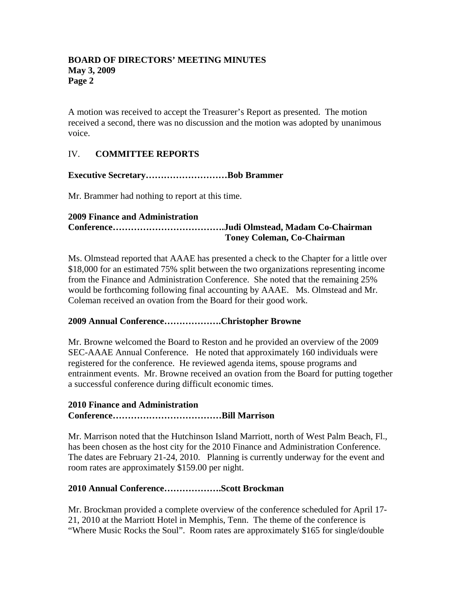A motion was received to accept the Treasurer's Report as presented. The motion received a second, there was no discussion and the motion was adopted by unanimous voice.

# IV. **COMMITTEE REPORTS**

## **Executive Secretary………………………Bob Brammer**

Mr. Brammer had nothing to report at this time.

#### **2009 Finance and Administration**

# **Conference……………………………….Judi Olmstead, Madam Co-Chairman Toney Coleman, Co-Chairman**

Ms. Olmstead reported that AAAE has presented a check to the Chapter for a little over \$18,000 for an estimated 75% split between the two organizations representing income from the Finance and Administration Conference. She noted that the remaining 25% would be forthcoming following final accounting by AAAE. Ms. Olmstead and Mr. Coleman received an ovation from the Board for their good work.

#### **2009 Annual Conference……………….Christopher Browne**

Mr. Browne welcomed the Board to Reston and he provided an overview of the 2009 SEC-AAAE Annual Conference. He noted that approximately 160 individuals were registered for the conference. He reviewed agenda items, spouse programs and entrainment events. Mr. Browne received an ovation from the Board for putting together a successful conference during difficult economic times.

## **2010 Finance and Administration**

# **Conference………………………………Bill Marrison**

Mr. Marrison noted that the Hutchinson Island Marriott, north of West Palm Beach, Fl., has been chosen as the host city for the 2010 Finance and Administration Conference. The dates are February 21-24, 2010. Planning is currently underway for the event and room rates are approximately \$159.00 per night.

#### **2010 Annual Conference……………….Scott Brockman**

Mr. Brockman provided a complete overview of the conference scheduled for April 17- 21, 2010 at the Marriott Hotel in Memphis, Tenn. The theme of the conference is "Where Music Rocks the Soul". Room rates are approximately \$165 for single/double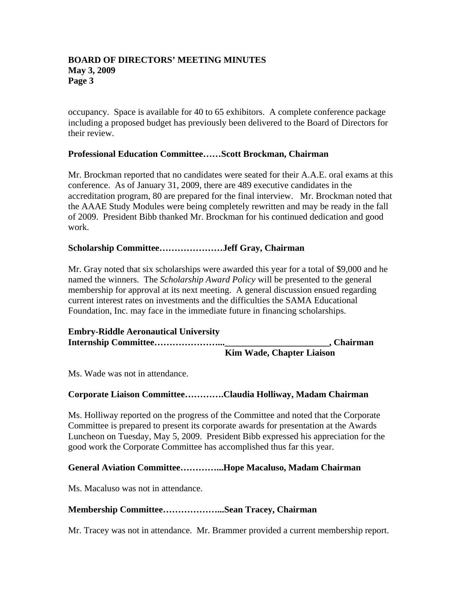occupancy. Space is available for 40 to 65 exhibitors. A complete conference package including a proposed budget has previously been delivered to the Board of Directors for their review.

#### **Professional Education Committee……Scott Brockman, Chairman**

Mr. Brockman reported that no candidates were seated for their A.A.E. oral exams at this conference. As of January 31, 2009, there are 489 executive candidates in the accreditation program, 80 are prepared for the final interview. Mr. Brockman noted that the AAAE Study Modules were being completely rewritten and may be ready in the fall of 2009. President Bibb thanked Mr. Brockman for his continued dedication and good work.

#### **Scholarship Committee…………………Jeff Gray, Chairman**

Mr. Gray noted that six scholarships were awarded this year for a total of \$9,000 and he named the winners. The *Scholarship Award Policy* will be presented to the general membership for approval at its next meeting. A general discussion ensued regarding current interest rates on investments and the difficulties the SAMA Educational Foundation, Inc. may face in the immediate future in financing scholarships.

| <b>Embry-Riddle Aeronautical University</b> |                                  |
|---------------------------------------------|----------------------------------|
|                                             | , Chairman                       |
|                                             | <b>Kim Wade, Chapter Liaison</b> |

Ms. Wade was not in attendance.

#### **Corporate Liaison Committee………….Claudia Holliway, Madam Chairman**

Ms. Holliway reported on the progress of the Committee and noted that the Corporate Committee is prepared to present its corporate awards for presentation at the Awards Luncheon on Tuesday, May 5, 2009. President Bibb expressed his appreciation for the good work the Corporate Committee has accomplished thus far this year.

### **General Aviation Committee…………...Hope Macaluso, Madam Chairman**

Ms. Macaluso was not in attendance.

#### **Membership Committee………………...Sean Tracey, Chairman**

Mr. Tracey was not in attendance. Mr. Brammer provided a current membership report.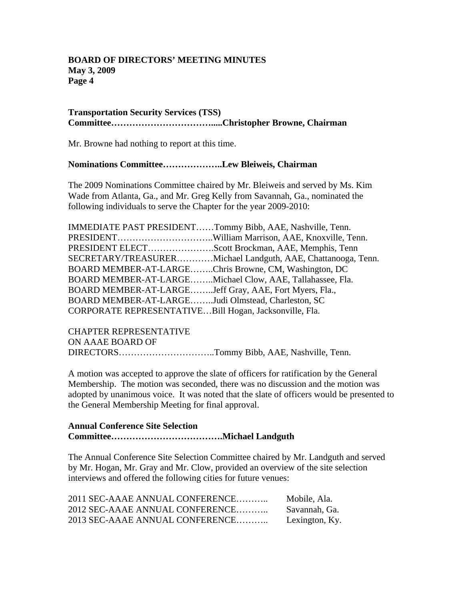#### **Transportation Security Services (TSS) Committee…………………………….....Christopher Browne, Chairman**

Mr. Browne had nothing to report at this time.

#### **Nominations Committee………………..Lew Bleiweis, Chairman**

The 2009 Nominations Committee chaired by Mr. Bleiweis and served by Ms. Kim Wade from Atlanta, Ga., and Mr. Greg Kelly from Savannah, Ga., nominated the following individuals to serve the Chapter for the year 2009-2010:

|                                                        | IMMEDIATE PAST PRESIDENTTommy Bibb, AAE, Nashville, Tenn.    |
|--------------------------------------------------------|--------------------------------------------------------------|
|                                                        |                                                              |
|                                                        | PRESIDENT ELECTScott Brockman, AAE, Memphis, Tenn            |
|                                                        | SECRETARY/TREASURERMichael Landguth, AAE, Chattanooga, Tenn. |
| BOARD MEMBER-AT-LARGEChris Browne, CM, Washington, DC  |                                                              |
|                                                        | BOARD MEMBER-AT-LARGEMichael Clow, AAE, Tallahassee, Fla.    |
| BOARD MEMBER-AT-LARGEJeff Gray, AAE, Fort Myers, Fla., |                                                              |
| BOARD MEMBER-AT-LARGEJudi Olmstead, Charleston, SC     |                                                              |
| CORPORATE REPRESENTATIVEBill Hogan, Jacksonville, Fla. |                                                              |

CHAPTER REPRESENTATIVE ON AAAE BOARD OF DIRECTORS…………………………..Tommy Bibb, AAE, Nashville, Tenn.

A motion was accepted to approve the slate of officers for ratification by the General Membership. The motion was seconded, there was no discussion and the motion was adopted by unanimous voice. It was noted that the slate of officers would be presented to the General Membership Meeting for final approval.

#### **Annual Conference Site Selection Committee……………………………….Michael Landguth**

The Annual Conference Site Selection Committee chaired by Mr. Landguth and served by Mr. Hogan, Mr. Gray and Mr. Clow, provided an overview of the site selection interviews and offered the following cities for future venues:

| 2011 SEC-AAAE ANNUAL CONFERENCE | Mobile, Ala.   |
|---------------------------------|----------------|
| 2012 SEC-AAAE ANNUAL CONFERENCE | Savannah, Ga.  |
| 2013 SEC-AAAE ANNUAL CONFERENCE | Lexington, Ky. |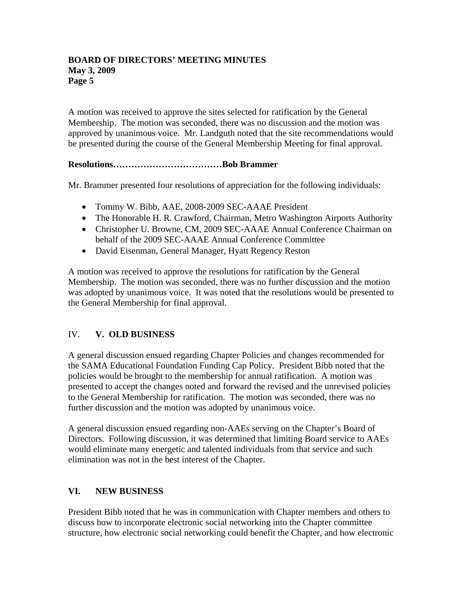A motion was received to approve the sites selected for ratification by the General Membership. The motion was seconded, there was no discussion and the motion was approved by unanimous voice. Mr. Landguth noted that the site recommendations would be presented during the course of the General Membership Meeting for final approval.

## **Resolutions………………………………Bob Brammer**

Mr. Brammer presented four resolutions of appreciation for the following individuals:

- Tommy W. Bibb, AAE, 2008-2009 SEC-AAAE President
- The Honorable H. R. Crawford, Chairman, Metro Washington Airports Authority
- Christopher U. Browne, CM, 2009 SEC-AAAE Annual Conference Chairman on behalf of the 2009 SEC-AAAE Annual Conference Committee
- David Eisenman, General Manager, Hyatt Regency Reston

A motion was received to approve the resolutions for ratification by the General Membership. The motion was seconded, there was no further discussion and the motion was adopted by unanimous voice. It was noted that the resolutions would be presented to the General Membership for final approval.

# IV. **V. OLD BUSINESS**

A general discussion ensued regarding Chapter Policies and changes recommended for the SAMA Educational Foundation Funding Cap Policy. President Bibb noted that the policies would be brought to the membership for annual ratification. A motion was presented to accept the changes noted and forward the revised and the unrevised policies to the General Membership for ratification. The motion was seconded, there was no further discussion and the motion was adopted by unanimous voice.

A general discussion ensued regarding non-AAEs serving on the Chapter's Board of Directors. Following discussion, it was determined that limiting Board service to AAEs would eliminate many energetic and talented individuals from that service and such elimination was not in the best interest of the Chapter.

# **VI. NEW BUSINESS**

President Bibb noted that he was in communication with Chapter members and others to discuss how to incorporate electronic social networking into the Chapter committee structure, how electronic social networking could benefit the Chapter, and how electronic